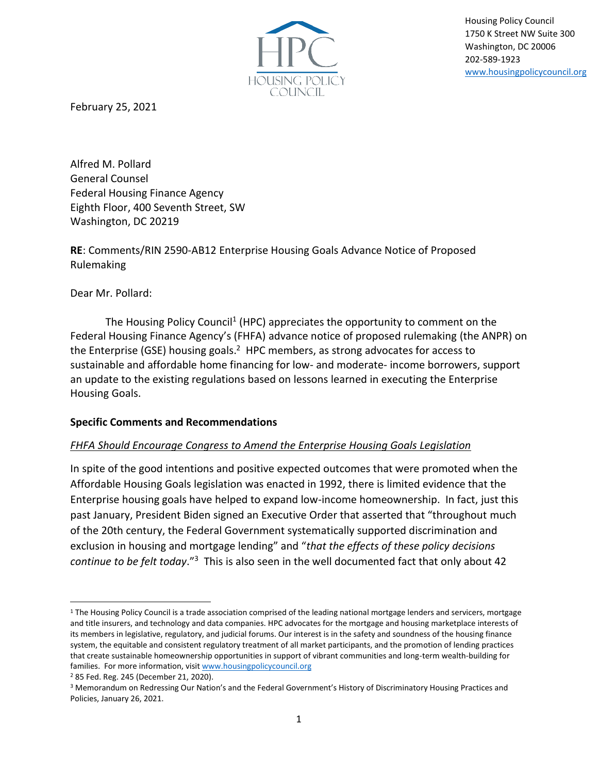

Housing Policy Council 1750 K Street NW Suite 300 Washington, DC 20006 202-589-1923 [www.housingpolicycouncil.org](http://www.housingpolicycouncil.org/)

February 25, 2021

Alfred M. Pollard General Counsel Federal Housing Finance Agency Eighth Floor, 400 Seventh Street, SW Washington, DC 20219

**RE**: Comments/RIN 2590-AB12 Enterprise Housing Goals Advance Notice of Proposed Rulemaking

Dear Mr. Pollard:

The Housing Policy Council<sup>1</sup> (HPC) appreciates the opportunity to comment on the Federal Housing Finance Agency's (FHFA) advance notice of proposed rulemaking (the ANPR) on the Enterprise (GSE) housing goals.<sup>2</sup> HPC members, as strong advocates for access to sustainable and affordable home financing for low- and moderate- income borrowers, support an update to the existing regulations based on lessons learned in executing the Enterprise Housing Goals.

## **Specific Comments and Recommendations**

## *FHFA Should Encourage Congress to Amend the Enterprise Housing Goals Legislation*

In spite of the good intentions and positive expected outcomes that were promoted when the Affordable Housing Goals legislation was enacted in 1992, there is limited evidence that the Enterprise housing goals have helped to expand low-income homeownership. In fact, just this past January, President Biden signed an Executive Order that asserted that "throughout much of the 20th century, the Federal Government systematically supported discrimination and exclusion in housing and mortgage lending" and "*that the effects of these policy decisions continue to be felt today*."<sup>3</sup> This is also seen in the well documented fact that only about 42

<sup>&</sup>lt;sup>1</sup> The Housing Policy Council is a trade association comprised of the leading national mortgage lenders and servicers, mortgage and title insurers, and technology and data companies. HPC advocates for the mortgage and housing marketplace interests of its members in legislative, regulatory, and judicial forums. Our interest is in the safety and soundness of the housing finance system, the equitable and consistent regulatory treatment of all market participants, and the promotion of lending practices that create sustainable homeownership opportunities in support of vibrant communities and long-term wealth-building for families. For more information, visit [www.housingpolicycouncil.org](http://www.housingpolicycouncil.org/)

<sup>2</sup> 85 Fed. Reg. 245 (December 21, 2020).

<sup>3</sup> Memorandum on Redressing Our Nation's and the Federal Government's History of Discriminatory Housing Practices and Policies, January 26, 2021.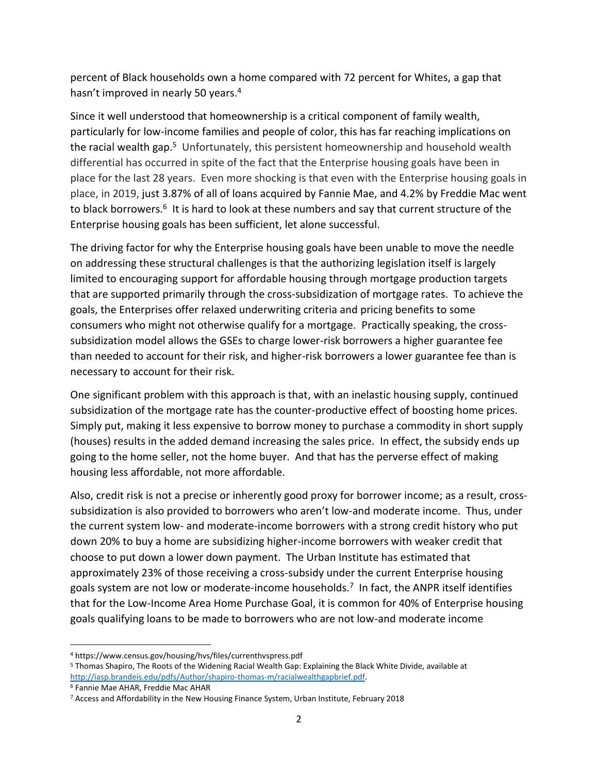percent of Black households own a home compared with 72 percent for Whites, a gap that hasn't improved in nearly 50 years.<sup>4</sup>

Since it well understood that homeownership is a critical component of family wealth, particularly for low-income families and people of color, this has far reaching implications on the racial wealth gap.<sup>5</sup> Unfortunately, this persistent homeownership and household wealth differential has occurred in spite of the fact that the Enterprise housing goals have been in place for the last 28 years. Even more shocking is that even with the Enterprise housing goals in place, in 2019, just 3.87% of all of loans acquired by Fannie Mae, and 4.2% by Freddie Mac went to black borrowers.<sup>6</sup> It is hard to look at these numbers and say that current structure of the Enterprise housing goals has been sufficient, let alone successful.

The driving factor for why the Enterprise housing goals have been unable to move the needle on addressing these structural challenges is that the authorizing legislation itself is largely limited to encouraging support for affordable housing through mortgage production targets that are supported primarily through the cross-subsidization of mortgage rates. To achieve the goals, the Enterprises offer relaxed underwriting criteria and pricing benefits to some consumers who might not otherwise qualify for a mortgage. Practically speaking, the crosssubsidization model allows the GSEs to charge lower-risk borrowers a higher guarantee fee than needed to account for their risk, and higher-risk borrowers a lower guarantee fee than is necessary to account for their risk.

One significant problem with this approach is that, with an inelastic housing supply, continued subsidization of the mortgage rate has the counter-productive effect of boosting home prices. Simply put, making it less expensive to borrow money to purchase a commodity in short supply (houses) results in the added demand increasing the sales price. In effect, the subsidy ends up going to the home seller, not the home buyer. And that has the perverse effect of making housing less affordable, not more affordable.

Also, credit risk is not a precise or inherently good proxy for borrower income; as a result, crosssubsidization is also provided to borrowers who aren't low-and moderate income. Thus, under the current system low- and moderate-income borrowers with a strong credit history who put down 20% to buy a home are subsidizing higher-income borrowers with weaker credit that choose to put down a lower down payment. The Urban Institute has estimated that approximately 23% of those receiving a cross-subsidy under the current Enterprise housing goals system are not low or moderate-income households.<sup>7</sup> In fact, the ANPR itself identifies that for the Low-Income Area Home Purchase Goal, it is common for 40% of Enterprise housing goals qualifying loans to be made to borrowers who are not low-and moderate income

<sup>4</sup> https://www.census.gov/housing/hvs/files/currenthvspress.pdf

<sup>5</sup> Thomas Shapiro, The Roots of the Widening Racial Wealth Gap: Explaining the Black White Divide, available at [http://iasp.brandeis.edu/pdfs/Author/shapiro-thomas-m/racialwealthgapbrief.pdf.](http://iasp.brandeis.edu/pdfs/Author/shapiro-thomas-m/racialwealthgapbrief.pdf)

<sup>6</sup> Fannie Mae AHAR, Freddie Mac AHAR

<sup>7</sup> Access and Affordability in the New Housing Finance System, Urban Institute, February 2018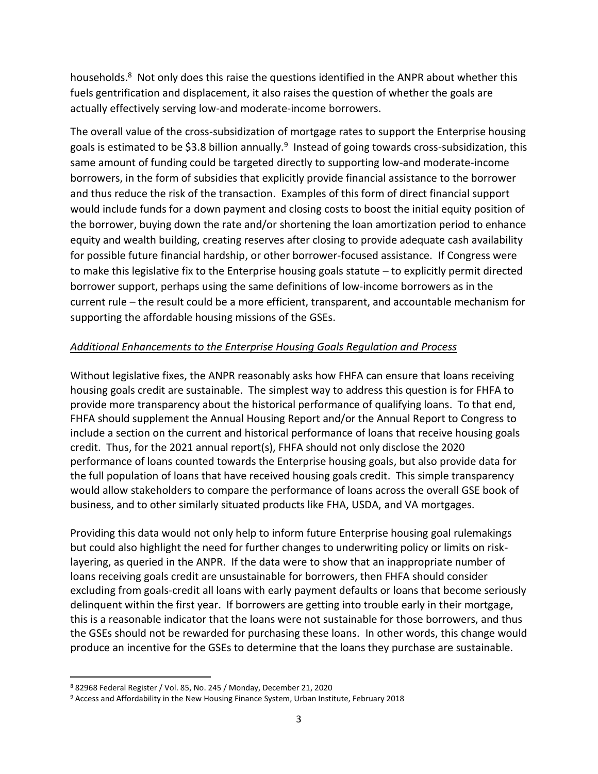households.<sup>8</sup> Not only does this raise the questions identified in the ANPR about whether this fuels gentrification and displacement, it also raises the question of whether the goals are actually effectively serving low-and moderate-income borrowers.

The overall value of the cross-subsidization of mortgage rates to support the Enterprise housing goals is estimated to be \$3.8 billion annually.<sup>9</sup> Instead of going towards cross-subsidization, this same amount of funding could be targeted directly to supporting low-and moderate-income borrowers, in the form of subsidies that explicitly provide financial assistance to the borrower and thus reduce the risk of the transaction. Examples of this form of direct financial support would include funds for a down payment and closing costs to boost the initial equity position of the borrower, buying down the rate and/or shortening the loan amortization period to enhance equity and wealth building, creating reserves after closing to provide adequate cash availability for possible future financial hardship, or other borrower-focused assistance. If Congress were to make this legislative fix to the Enterprise housing goals statute – to explicitly permit directed borrower support, perhaps using the same definitions of low-income borrowers as in the current rule – the result could be a more efficient, transparent, and accountable mechanism for supporting the affordable housing missions of the GSEs.

## *Additional Enhancements to the Enterprise Housing Goals Regulation and Process*

Without legislative fixes, the ANPR reasonably asks how FHFA can ensure that loans receiving housing goals credit are sustainable. The simplest way to address this question is for FHFA to provide more transparency about the historical performance of qualifying loans. To that end, FHFA should supplement the Annual Housing Report and/or the Annual Report to Congress to include a section on the current and historical performance of loans that receive housing goals credit. Thus, for the 2021 annual report(s), FHFA should not only disclose the 2020 performance of loans counted towards the Enterprise housing goals, but also provide data for the full population of loans that have received housing goals credit. This simple transparency would allow stakeholders to compare the performance of loans across the overall GSE book of business, and to other similarly situated products like FHA, USDA, and VA mortgages.

Providing this data would not only help to inform future Enterprise housing goal rulemakings but could also highlight the need for further changes to underwriting policy or limits on risklayering, as queried in the ANPR. If the data were to show that an inappropriate number of loans receiving goals credit are unsustainable for borrowers, then FHFA should consider excluding from goals-credit all loans with early payment defaults or loans that become seriously delinquent within the first year. If borrowers are getting into trouble early in their mortgage, this is a reasonable indicator that the loans were not sustainable for those borrowers, and thus the GSEs should not be rewarded for purchasing these loans. In other words, this change would produce an incentive for the GSEs to determine that the loans they purchase are sustainable.

<sup>8</sup> 82968 Federal Register / Vol. 85, No. 245 / Monday, December 21, 2020

<sup>&</sup>lt;sup>9</sup> Access and Affordability in the New Housing Finance System, Urban Institute, February 2018